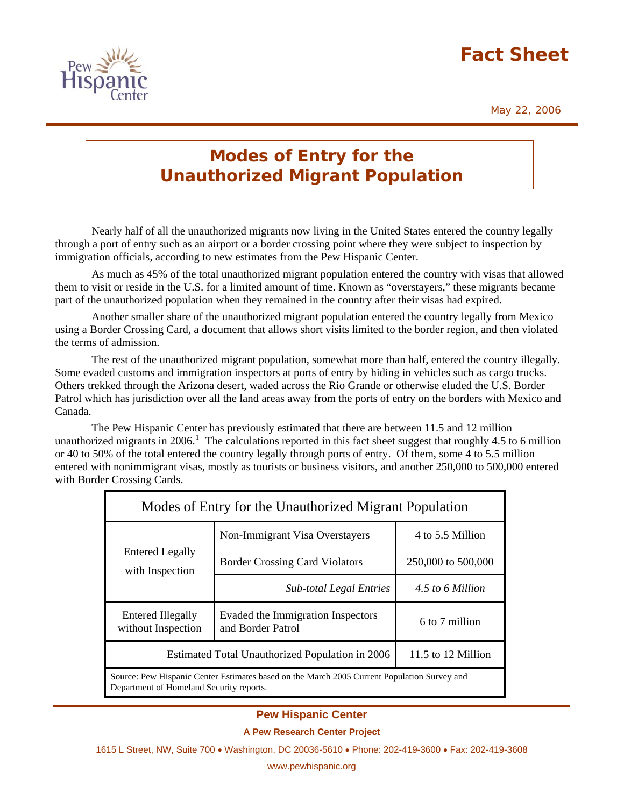# **Fact Sheet**

May 22, 2006



## **Modes of Entry for the Unauthorized Migrant Population**

Nearly half of all the unauthorized migrants now living in the United States entered the country legally through a port of entry such as an airport or a border crossing point where they were subject to inspection by immigration officials, according to new estimates from the Pew Hispanic Center.

As much as 45% of the total unauthorized migrant population entered the country with visas that allowed them to visit or reside in the U.S. for a limited amount of time. Known as "overstayers," these migrants became part of the unauthorized population when they remained in the country after their visas had expired.

Another smaller share of the unauthorized migrant population entered the country legally from Mexico using a Border Crossing Card, a document that allows short visits limited to the border region, and then violated the terms of admission.

The rest of the unauthorized migrant population, somewhat more than half, entered the country illegally. Some evaded customs and immigration inspectors at ports of entry by hiding in vehicles such as cargo trucks. Others trekked through the Arizona desert, waded across the Rio Grande or otherwise eluded the U.S. Border Patrol which has jurisdiction over all the land areas away from the ports of entry on the borders with Mexico and Canada.

The Pew Hispanic Center has previously estimated that there are between 11.5 and 12 million unauthorized migrants in 2006.<sup>[1](#page-4-0)</sup> The calculations reported in this fact sheet suggest that roughly 4.5 to 6 million or 40 to 50% of the total entered the country legally through ports of entry. Of them, some 4 to 5.5 million entered with nonimmigrant visas, mostly as tourists or business visitors, and another 250,000 to 500,000 entered with Border Crossing Cards.

| Modes of Entry for the Unauthorized Migrant Population                                                                                  |                                                        |                    |  |  |  |  |
|-----------------------------------------------------------------------------------------------------------------------------------------|--------------------------------------------------------|--------------------|--|--|--|--|
| <b>Entered Legally</b><br>with Inspection                                                                                               | Non-Immigrant Visa Overstayers                         | 4 to 5.5 Million   |  |  |  |  |
|                                                                                                                                         | <b>Border Crossing Card Violators</b>                  | 250,000 to 500,000 |  |  |  |  |
|                                                                                                                                         | <b>Sub-total Legal Entries</b>                         | 4.5 to 6 Million   |  |  |  |  |
| <b>Entered Illegally</b><br>without Inspection                                                                                          | Evaded the Immigration Inspectors<br>and Border Patrol | 6 to 7 million     |  |  |  |  |
| Estimated Total Unauthorized Population in 2006                                                                                         | 11.5 to 12 Million                                     |                    |  |  |  |  |
| Source: Pew Hispanic Center Estimates based on the March 2005 Current Population Survey and<br>Department of Homeland Security reports. |                                                        |                    |  |  |  |  |

## **Pew Hispanic Center**

## **A Pew Research Center Project**

1615 L Street, NW, Suite 700 • Washington, DC 20036-5610 • Phone: 202-419-3600 • Fax: 202-419-3608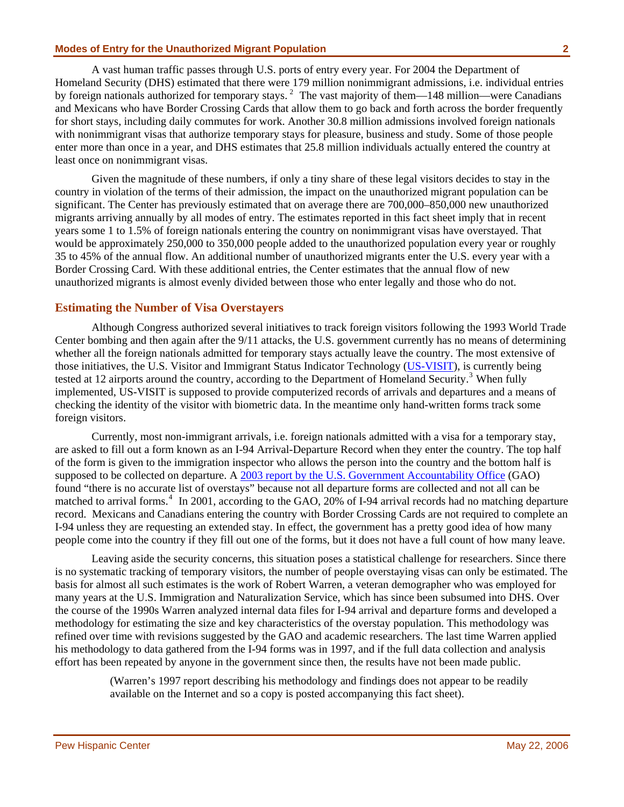#### **Modes of Entry for the Unauthorized Migrant Population 2**

A vast human traffic passes through U.S. ports of entry every year. For 2004 the Department of Homeland Security (DHS) estimated that there were 179 million nonimmigrant admissions, i.e. individual entries by foreign nationals authorized for temporary stays.<sup>[2](#page-4-1)</sup> The vast majority of them—148 million—were Canadians and Mexicans who have Border Crossing Cards that allow them to go back and forth across the border frequently for short stays, including daily commutes for work. Another 30.8 million admissions involved foreign nationals with nonimmigrant visas that authorize temporary stays for pleasure, business and study. Some of those people enter more than once in a year, and DHS estimates that 25.8 million individuals actually entered the country at least once on nonimmigrant visas.

Given the magnitude of these numbers, if only a tiny share of these legal visitors decides to stay in the country in violation of the terms of their admission, the impact on the unauthorized migrant population can be significant. The Center has previously estimated that on average there are 700,000–850,000 new unauthorized migrants arriving annually by all modes of entry. The estimates reported in this fact sheet imply that in recent years some 1 to 1.5% of foreign nationals entering the country on nonimmigrant visas have overstayed. That would be approximately 250,000 to 350,000 people added to the unauthorized population every year or roughly 35 to 45% of the annual flow. An additional number of unauthorized migrants enter the U.S. every year with a Border Crossing Card. With these additional entries, the Center estimates that the annual flow of new unauthorized migrants is almost evenly divided between those who enter legally and those who do not.

### **Estimating the Number of Visa Overstayers**

Although Congress authorized several initiatives to track foreign visitors following the 1993 World Trade Center bombing and then again after the 9/11 attacks, the U.S. government currently has no means of determining whether all the foreign nationals admitted for temporary stays actually leave the country. The most extensive of those initiatives, the U.S. Visitor and Immigrant Status Indicator Technology [\(US-VISIT](http://www.dhs.gov/dhspublic/interapp/content_multi_image/content_multi_image_0006.xml)), is currently being tested at 12 airports around the country, according to the Department of Homeland Security.<sup>[3](#page-4-1)</sup> When fully implemented, US-VISIT is supposed to provide computerized records of arrivals and departures and a means of checking the identity of the visitor with biometric data. In the meantime only hand-written forms track some foreign visitors.

Currently, most non-immigrant arrivals, i.e. foreign nationals admitted with a visa for a temporary stay, are asked to fill out a form known as an I-94 Arrival-Departure Record when they enter the country. The top half of the form is given to the immigration inspector who allows the person into the country and the bottom half is supposed to be collected on departure. A [2003 report by the U.S. Government Accountability Office](http://www.gao.gov/new.items/d0482.pdf) (GAO) found "there is no accurate list of overstays" because not all departure forms are collected and not all can be matched to arrival forms.<sup>[4](#page-4-1)</sup> In 2001, according to the GAO, 20% of I-94 arrival records had no matching departure record. Mexicans and Canadians entering the country with Border Crossing Cards are not required to complete an I-94 unless they are requesting an extended stay. In effect, the government has a pretty good idea of how many people come into the country if they fill out one of the forms, but it does not have a full count of how many leave.

 Leaving aside the security concerns, this situation poses a statistical challenge for researchers. Since there is no systematic tracking of temporary visitors, the number of people overstaying visas can only be estimated. The basis for almost all such estimates is the work of Robert Warren, a veteran demographer who was employed for many years at the U.S. Immigration and Naturalization Service, which has since been subsumed into DHS. Over the course of the 1990s Warren analyzed internal data files for I-94 arrival and departure forms and developed a methodology for estimating the size and key characteristics of the overstay population. This methodology was refined over time with revisions suggested by the GAO and academic researchers. The last time Warren applied his methodology to data gathered from the I-94 forms was in 1997, and if the full data collection and analysis effort has been repeated by anyone in the government since then, the results have not been made public.

> (Warren's 1997 report describing his methodology and findings does not appear to be readily available on the Internet and so a copy is posted accompanying this fact sheet).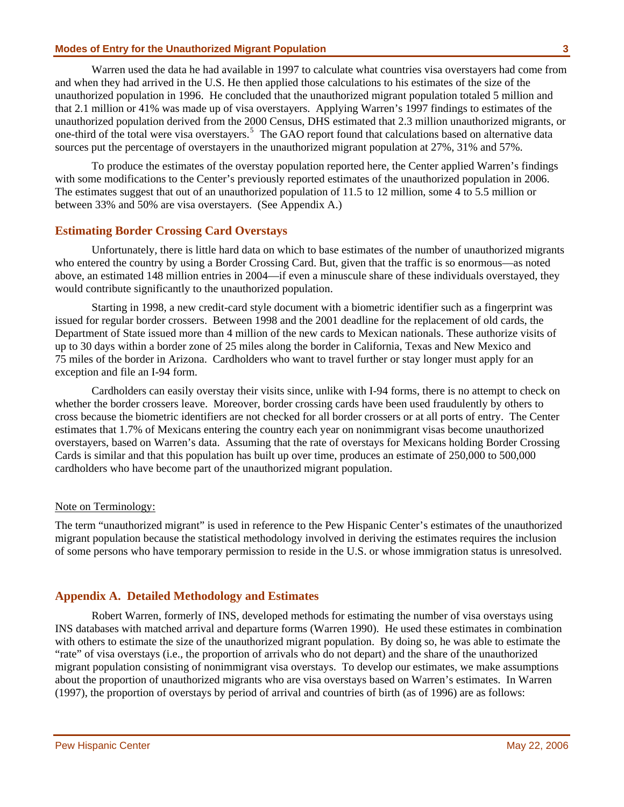Warren used the data he had available in 1997 to calculate what countries visa overstayers had come from and when they had arrived in the U.S. He then applied those calculations to his estimates of the size of the unauthorized population in 1996. He concluded that the unauthorized migrant population totaled 5 million and that 2.1 million or 41% was made up of visa overstayers. Applying Warren's 1997 findings to estimates of the unauthorized population derived from the 2000 Census, DHS estimated that 2.3 million unauthorized migrants, or one-third of the total were visa overstayers.<sup>[5](#page-4-1)</sup> The GAO report found that calculations based on alternative data sources put the percentage of overstayers in the unauthorized migrant population at 27%, 31% and 57%.

To produce the estimates of the overstay population reported here, the Center applied Warren's findings with some modifications to the Center's previously reported estimates of the unauthorized population in 2006. The estimates suggest that out of an unauthorized population of 11.5 to 12 million, some 4 to 5.5 million or between 33% and 50% are visa overstayers. (See Appendix A.)

## **Estimating Border Crossing Card Overstays**

Unfortunately, there is little hard data on which to base estimates of the number of unauthorized migrants who entered the country by using a Border Crossing Card. But, given that the traffic is so enormous—as noted above, an estimated 148 million entries in 2004—if even a minuscule share of these individuals overstayed, they would contribute significantly to the unauthorized population.

Starting in 1998, a new credit-card style document with a biometric identifier such as a fingerprint was issued for regular border crossers. Between 1998 and the 2001 deadline for the replacement of old cards, the Department of State issued more than 4 million of the new cards to Mexican nationals. These authorize visits of up to 30 days within a border zone of 25 miles along the border in California, Texas and New Mexico and 75 miles of the border in Arizona. Cardholders who want to travel further or stay longer must apply for an exception and file an I-94 form.

Cardholders can easily overstay their visits since, unlike with I-94 forms, there is no attempt to check on whether the border crossers leave. Moreover, border crossing cards have been used fraudulently by others to cross because the biometric identifiers are not checked for all border crossers or at all ports of entry. The Center estimates that 1.7% of Mexicans entering the country each year on nonimmigrant visas become unauthorized overstayers, based on Warren's data. Assuming that the rate of overstays for Mexicans holding Border Crossing Cards is similar and that this population has built up over time, produces an estimate of 250,000 to 500,000 cardholders who have become part of the unauthorized migrant population.

#### Note on Terminology:

The term "unauthorized migrant" is used in reference to the Pew Hispanic Center's estimates of the unauthorized migrant population because the statistical methodology involved in deriving the estimates requires the inclusion of some persons who have temporary permission to reside in the U.S. or whose immigration status is unresolved.

## **Appendix A. Detailed Methodology and Estimates**

Robert Warren, formerly of INS, developed methods for estimating the number of visa overstays using INS databases with matched arrival and departure forms (Warren 1990). He used these estimates in combination with others to estimate the size of the unauthorized migrant population. By doing so, he was able to estimate the "rate" of visa overstays (i.e., the proportion of arrivals who do not depart) and the share of the unauthorized migrant population consisting of nonimmigrant visa overstays. To develop our estimates, we make assumptions about the proportion of unauthorized migrants who are visa overstays based on Warren's estimates. In Warren (1997), the proportion of overstays by period of arrival and countries of birth (as of 1996) are as follows: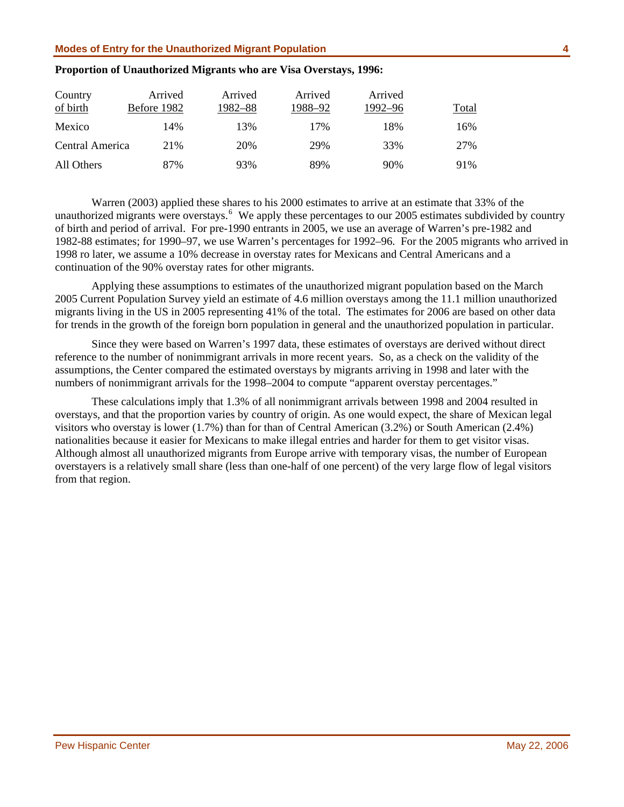#### **Modes of Entry for the Unauthorized Migrant Population 4**

| Country<br>of birth | Arrived<br>Before 1982 | Arrived<br>1982–88 | Arrived<br>1988–92 | Arrived<br>1992–96 | <b>Total</b> |
|---------------------|------------------------|--------------------|--------------------|--------------------|--------------|
| Mexico              | 14%                    | 13%                | 17%                | 18%                | 16%          |
| Central America     | 21\%                   | 20%                | 29%                | 33%                | 27%          |
| All Others          | 87%                    | 93%                | 89%                | 90%                | 91%          |

#### **Proportion of Unauthorized Migrants who are Visa Overstays, 1996:**

Warren (2003) applied these shares to his 2000 estimates to arrive at an estimate that 33% of the unauthorized migrants were overstays.<sup>[6](#page-4-1)</sup> We apply these percentages to our 2005 estimates subdivided by country of birth and period of arrival. For pre-1990 entrants in 2005, we use an average of Warren's pre-1982 and 1982-88 estimates; for 1990–97, we use Warren's percentages for 1992–96. For the 2005 migrants who arrived in 1998 ro later, we assume a 10% decrease in overstay rates for Mexicans and Central Americans and a continuation of the 90% overstay rates for other migrants.

Applying these assumptions to estimates of the unauthorized migrant population based on the March 2005 Current Population Survey yield an estimate of 4.6 million overstays among the 11.1 million unauthorized migrants living in the US in 2005 representing 41% of the total. The estimates for 2006 are based on other data for trends in the growth of the foreign born population in general and the unauthorized population in particular.

Since they were based on Warren's 1997 data, these estimates of overstays are derived without direct reference to the number of nonimmigrant arrivals in more recent years. So, as a check on the validity of the assumptions, the Center compared the estimated overstays by migrants arriving in 1998 and later with the numbers of nonimmigrant arrivals for the 1998–2004 to compute "apparent overstay percentages."

These calculations imply that 1.3% of all nonimmigrant arrivals between 1998 and 2004 resulted in overstays, and that the proportion varies by country of origin. As one would expect, the share of Mexican legal visitors who overstay is lower (1.7%) than for than of Central American (3.2%) or South American (2.4%) nationalities because it easier for Mexicans to make illegal entries and harder for them to get visitor visas. Although almost all unauthorized migrants from Europe arrive with temporary visas, the number of European overstayers is a relatively small share (less than one-half of one percent) of the very large flow of legal visitors from that region.